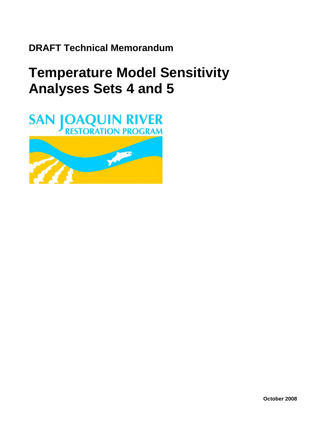**DRAFT Technical Memorandum** 

# **Temperature Model Sensitivity Analyses Sets 4 and 5**

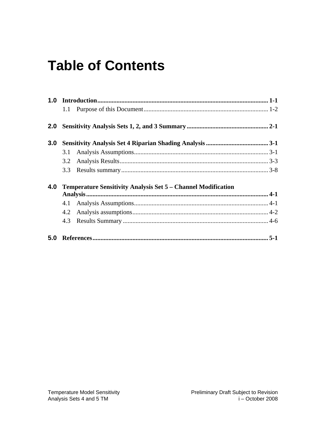# **Table of Contents**

| 1.0 |     |                                                               |  |
|-----|-----|---------------------------------------------------------------|--|
|     |     |                                                               |  |
| 2.0 |     |                                                               |  |
| 3.0 |     |                                                               |  |
|     | 3.1 |                                                               |  |
|     | 3.2 |                                                               |  |
|     |     |                                                               |  |
| 4.0 |     | Temperature Sensitivity Analysis Set 5 – Channel Modification |  |
|     |     |                                                               |  |
|     | 4.1 |                                                               |  |
|     | 4.2 |                                                               |  |
|     |     |                                                               |  |
| 5.0 |     |                                                               |  |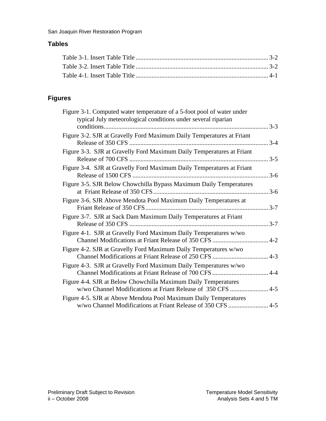#### **Tables**

#### **Figures**

| Figure 3-1. Computed water temperature of a 5-foot pool of water under<br>typical July meteorological conditions under several riparian |          |
|-----------------------------------------------------------------------------------------------------------------------------------------|----------|
|                                                                                                                                         |          |
| Figure 3-2. SJR at Gravelly Ford Maximum Daily Temperatures at Friant                                                                   |          |
| Figure 3-3. SJR at Gravelly Ford Maximum Daily Temperatures at Friant                                                                   | $.3 - 5$ |
| Figure 3-4. SJR at Gravelly Ford Maximum Daily Temperatures at Friant                                                                   |          |
| Figure 3-5. SJR Below Chowchilla Bypass Maximum Daily Temperatures                                                                      |          |
| Figure 3-6. SJR Above Mendota Pool Maximum Daily Temperatures at                                                                        |          |
| Figure 3-7. SJR at Sack Dam Maximum Daily Temperatures at Friant                                                                        |          |
| Figure 4-1. SJR at Gravelly Ford Maximum Daily Temperatures w/wo                                                                        |          |
| Figure 4-2. SJR at Gravelly Ford Maximum Daily Temperatures w/wo                                                                        |          |
| Figure 4-3. SJR at Gravelly Ford Maximum Daily Temperatures w/wo                                                                        |          |
| Figure 4-4. SJR at Below Chowchilla Maximum Daily Temperatures<br>w/wo Channel Modifications at Friant Release of 350 CFS  4-5          |          |
| Figure 4-5. SJR at Above Mendota Pool Maximum Daily Temperatures<br>w/wo Channel Modifications at Friant Release of 350 CFS  4-5        |          |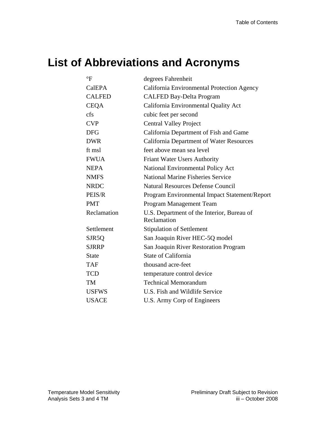## **List of Abbreviations and Acronyms**

| $\mathrm{P}$  | degrees Fahrenheit                                        |
|---------------|-----------------------------------------------------------|
| <b>CalEPA</b> | California Environmental Protection Agency                |
| <b>CALFED</b> | <b>CALFED Bay-Delta Program</b>                           |
| <b>CEQA</b>   | California Environmental Quality Act                      |
| cfs           | cubic feet per second                                     |
| <b>CVP</b>    | <b>Central Valley Project</b>                             |
| <b>DFG</b>    | California Department of Fish and Game                    |
| <b>DWR</b>    | <b>California Department of Water Resources</b>           |
| ft msl        | feet above mean sea level                                 |
| <b>FWUA</b>   | <b>Friant Water Users Authority</b>                       |
| <b>NEPA</b>   | <b>National Environmental Policy Act</b>                  |
| <b>NMFS</b>   | <b>National Marine Fisheries Service</b>                  |
| <b>NRDC</b>   | <b>Natural Resources Defense Council</b>                  |
| PEIS/R        | Program Environmental Impact Statement/Report             |
| <b>PMT</b>    | Program Management Team                                   |
| Reclamation   | U.S. Department of the Interior, Bureau of<br>Reclamation |
| Settlement    | <b>Stipulation of Settlement</b>                          |
| SJR5Q         | San Joaquin River HEC-5Q model                            |
| <b>SJRRP</b>  | San Joaquin River Restoration Program                     |
| State         | State of California                                       |
| <b>TAF</b>    | thousand acre-feet                                        |
| <b>TCD</b>    | temperature control device                                |
| TM            | <b>Technical Memorandum</b>                               |
| <b>USFWS</b>  | U.S. Fish and Wildlife Service                            |
| <b>USACE</b>  | U.S. Army Corp of Engineers                               |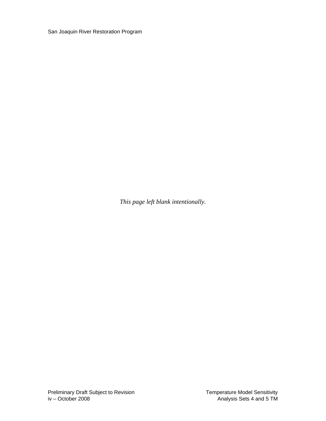*This page left blank intentionally.*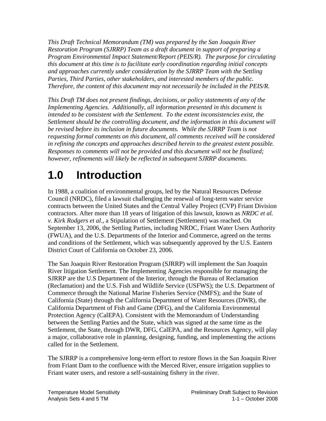*This Draft Technical Memorandum (TM) was prepared by the San Joaquin River Restoration Program (SJRRP) Team as a draft document in support of preparing a Program Environmental Impact Statement/Report (PEIS/R). The purpose for circulating this document at this time is to facilitate early coordination regarding initial concepts and approaches currently under consideration by the SJRRP Team with the Settling Parties, Third Parties, other stakeholders, and interested members of the public. Therefore, the content of this document may not necessarily be included in the PEIS/R.* 

*This Draft TM does not present findings, decisions, or policy statements of any of the Implementing Agencies. Additionally, all information presented in this document is intended to be consistent with the Settlement. To the extent inconsistencies exist, the Settlement should be the controlling document, and the information in this document will be revised before its inclusion in future documents. While the SJRRP Team is not requesting formal comments on this document, all comments received will be considered in refining the concepts and approaches described herein to the greatest extent possible. Responses to comments will not be provided and this document will not be finalized; however, refinements will likely be reflected in subsequent SJRRP documents.* 

# **1.0 Introduction**

In 1988, a coalition of environmental groups, led by the Natural Resources Defense Council (NRDC), filed a lawsuit challenging the renewal of long-term water service contracts between the United States and the Central Valley Project (CVP) Friant Division contractors. After more than 18 years of litigation of this lawsuit, known as *NRDC et al. v. Kirk Rodgers et al.*, a Stipulation of Settlement (Settlement) was reached. On September 13, 2006, the Settling Parties, including NRDC, Friant Water Users Authority (FWUA), and the U.S. Departments of the Interior and Commerce, agreed on the terms and conditions of the Settlement, which was subsequently approved by the U.S. Eastern District Court of California on October 23, 2006.

The San Joaquin River Restoration Program (SJRRP) will implement the San Joaquin River litigation Settlement. The Implementing Agencies responsible for managing the SJRRP are the U.S Department of the Interior, through the Bureau of Reclamation (Reclamation) and the U.S. Fish and Wildlife Service (USFWS); the U.S. Department of Commerce through the National Marine Fisheries Service (NMFS); and the State of California (State) through the California Department of Water Resources (DWR), the California Department of Fish and Game (DFG), and the California Environmental Protection Agency (CalEPA). Consistent with the Memorandum of Understanding between the Settling Parties and the State, which was signed at the same time as the Settlement, the State, through DWR, DFG, CalEPA, and the Resources Agency, will play a major, collaborative role in planning, designing, funding, and implementing the actions called for in the Settlement.

The SJRRP is a comprehensive long-term effort to restore flows in the San Joaquin River from Friant Dam to the confluence with the Merced River, ensure irrigation supplies to Friant water users, and restore a self-sustaining fishery in the river.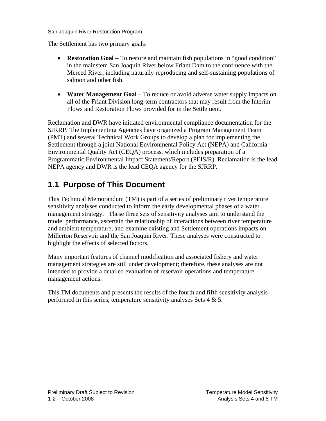The Settlement has two primary goals:

- **Restoration Goal** To restore and maintain fish populations in "good condition" in the mainstem San Joaquin River below Friant Dam to the confluence with the Merced River, including naturally reproducing and self-sustaining populations of salmon and other fish.
- **Water Management Goal** To reduce or avoid adverse water supply impacts on all of the Friant Division long-term contractors that may result from the Interim Flows and Restoration Flows provided for in the Settlement.

Reclamation and DWR have initiated environmental compliance documentation for the SJRRP. The Implementing Agencies have organized a Program Management Team (PMT) and several Technical Work Groups to develop a plan for implementing the Settlement through a joint National Environmental Policy Act (NEPA) and California Environmental Quality Act (CEQA) process, which includes preparation of a Programmatic Environmental Impact Statement/Report (PEIS/R). Reclamation is the lead NEPA agency and DWR is the lead CEQA agency for the SJRRP.

#### **1.1 Purpose of This Document**

This Technical Memorandum (TM) is part of a series of preliminary river temperature sensitivity analyses conducted to inform the early developmental phases of a water management strategy. These three sets of sensitivity analyses aim to understand the model performance, ascertain the relationship of interactions between river temperature and ambient temperature, and examine existing and Settlement operations impacts on Millerton Reservoir and the San Joaquin River. These analyses were constructed to highlight the effects of selected factors.

Many important features of channel modification and associated fishery and water management strategies are still under development; therefore, these analyses are not intended to provide a detailed evaluation of reservoir operations and temperature management actions.

This TM documents and presents the results of the fourth and fifth sensitivity analysis performed in this series, temperature sensitivity analyses Sets  $4 \& 5$ .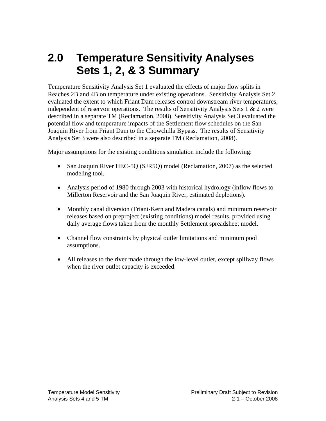## **2.0 Temperature Sensitivity Analyses Sets 1, 2, & 3 Summary**

Temperature Sensitivity Analysis Set 1 evaluated the effects of major flow splits in Reaches 2B and 4B on temperature under existing operations. Sensitivity Analysis Set 2 evaluated the extent to which Friant Dam releases control downstream river temperatures, independent of reservoir operations. The results of Sensitivity Analysis Sets  $1 \& 2$  were described in a separate TM (Reclamation, 2008). Sensitivity Analysis Set 3 evaluated the potential flow and temperature impacts of the Settlement flow schedules on the San Joaquin River from Friant Dam to the Chowchilla Bypass. The results of Sensitivity Analysis Set 3 were also described in a separate TM (Reclamation, 2008).

Major assumptions for the existing conditions simulation include the following:

- San Joaquin River HEC-5Q (SJR5Q) model (Reclamation, 2007) as the selected modeling tool.
- Analysis period of 1980 through 2003 with historical hydrology (inflow flows to Millerton Reservoir and the San Joaquin River, estimated depletions).
- Monthly canal diversion (Friant-Kern and Madera canals) and minimum reservoir releases based on preproject (existing conditions) model results, provided using daily average flows taken from the monthly Settlement spreadsheet model.
- Channel flow constraints by physical outlet limitations and minimum pool assumptions.
- All releases to the river made through the low-level outlet, except spillway flows when the river outlet capacity is exceeded.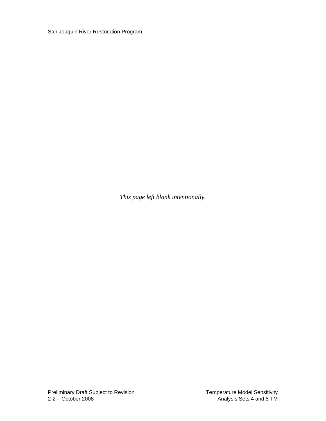*This page left blank intentionally.*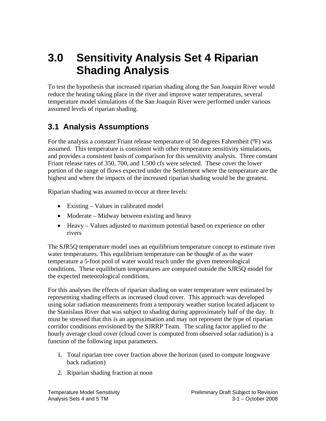## **3.0 Sensitivity Analysis Set 4 Riparian Shading Analysis**

To test the hypothesis that increased riparian shading along the San Joaquin River would reduce the heating taking place in the river and improve water temperatures, several temperature model simulations of the San Joaquin River were performed under various assumed levels of riparian shading.

### **3.1 Analysis Assumptions**

For the analysis a constant Friant release temperature of 50 degrees Fahrenheit (ºF) was assumed. This temperature is consistent with other temperature sensitivity simulations, and provides a consistent basis of comparison for this sensitivity analysis. Three constant Friant release rates of 350, 700, and 1,500 cfs were selected. These cover the lower portion of the range of flows expected under the Settlement where the temperature are the highest and where the impacts of the increased riparian shading would be the greatest.

Riparian shading was assumed to occur at three levels:

- Existing Values in calibrated model
- Moderate Midway between existing and heavy
- Heavy Values adjusted to maximum potential based on experience on other rivers

The SJR5Q temperature model uses an equilibrium temperature concept to estimate river water temperatures. This equilibrium temperature can be thought of as the water temperature a 5-foot pool of water would reach under the given meteorological conditions. These equilibrium temperatures are computed outside the SJR5Q model for the expected meteorological conditions.

For this analyses the effects of riparian shading on water temperature were estimated by representing shading effects as increased cloud cover. This approach was developed using solar radiation measurements from a temporary weather station located adjacent to the Stanislaus River that was subject to shading during approximately half of the day. It must be stressed that this is an approximation and may not represent the type of riparian corridor conditions envisioned by the SJRRP Team. The scaling factor applied to the hourly average cloud cover (cloud cover is computed from observed solar radiation) is a function of the following input parameters.

- 1. Total riparian tree cover fraction above the horizon (used to compute longwave back radiation)
- 2. Riparian shading fraction at noon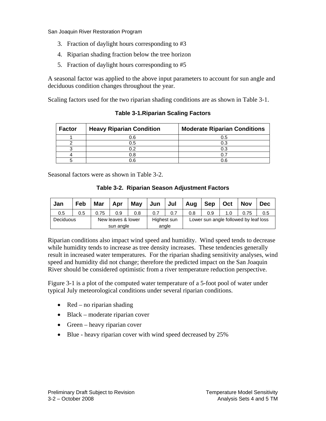- 3. Fraction of daylight hours corresponding to #3
- 4. Riparian shading fraction below the tree horizon
- 5. Fraction of daylight hours corresponding to #5

A seasonal factor was applied to the above input parameters to account for sun angle and deciduous condition changes throughout the year.

Scaling factors used for the two riparian shading conditions are as shown in Table 3-1.

| <b>Factor</b> | <b>Heavy Riparian Condition</b> | <b>Moderate Riparian Conditions</b> |
|---------------|---------------------------------|-------------------------------------|
|               | 0.6                             | 0.5                                 |
|               | 0.5                             | 0.3                                 |
|               |                                 | 0.3                                 |
|               | 0.8                             |                                     |
|               |                                 |                                     |

**Table 3-1.Riparian Scaling Factors** 

Seasonal factors were as shown in Table 3-2.

|  |  |  | Table 3-2. Riparian Season Adjustment Factors |  |
|--|--|--|-----------------------------------------------|--|
|--|--|--|-----------------------------------------------|--|

| Jan              | Feb | Mar  | Apr                             | May | Jun | Jul                  | Aug                                   | Sep | Oct | <b>Nov</b> | <b>Dec</b> |
|------------------|-----|------|---------------------------------|-----|-----|----------------------|---------------------------------------|-----|-----|------------|------------|
| 0.5              | 0.5 | 0.75 | 0.9                             | 0.8 | 0.7 | 0.7                  | 0.8                                   | 0.9 | 1.0 | 0.75       | 0.5        |
| <b>Deciduous</b> |     |      | New leaves & lower<br>sun angle |     |     | Highest sun<br>angle | Lower sun angle followed by leaf loss |     |     |            |            |

Riparian conditions also impact wind speed and humidity. Wind speed tends to decrease while humidity tends to increase as tree density increases. These tendencies generally result in increased water temperatures. For the riparian shading sensitivity analyses, wind speed and humidity did not change; therefore the predicted impact on the San Joaquin River should be considered optimistic from a river temperature reduction perspective.

Figure 3-1 is a plot of the computed water temperature of a 5-foot pool of water under typical July meteorological conditions under several riparian conditions.

- $\bullet$  Red no riparian shading
- Black moderate riparian cover
- $\bullet$  Green heavy riparian cover
- Blue heavy riparian cover with wind speed decreased by 25%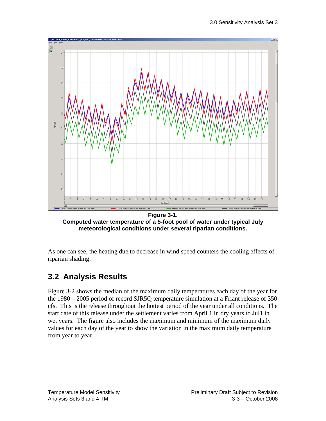

**Figure 3-1. Computed water temperature of a 5-foot pool of water under typical July meteorological conditions under several riparian conditions.** 

As one can see, the heating due to decrease in wind speed counters the cooling effects of riparian shading.

### **3.2 Analysis Results**

Figure 3-2 shows the median of the maximum daily temperatures each day of the year for the 1980 – 2005 period of record SJR5Q temperature simulation at a Friant release of 350 cfs. This is the release throughout the hottest period of the year under all conditions. The start date of this release under the settlement varies from April 1 in dry years to Jul1 in wet years. The figure also includes the maximum and minimum of the maximum daily values for each day of the year to show the variation in the maximum daily temperature from year to year.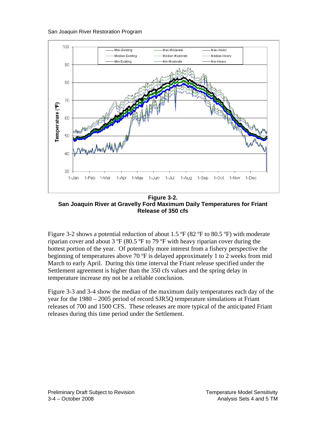

**Figure 3-2. San Joaquin River at Gravelly Ford Maximum Daily Temperatures for Friant Release of 350 cfs** 

Figure 3-2 shows a potential reduction of about 1.5  $\mathrm{P}F(82 \mathrm{P}F)$  to 80.5  $\mathrm{P}F$ ) with moderate riparian cover and about 3 ºF (80.5 ºF to 79 ºF with heavy riparian cover during the hottest portion of the year. Of potentially more interest from a fishery perspective the beginning of temperatures above 70 ºF is delayed approximately 1 to 2 weeks from mid March to early April. During this time interval the Friant release specified under the Settlement agreement is higher than the 350 cfs values and the spring delay in temperature increase my not be a reliable conclusion.

Figure 3-3 and 3-4 show the median of the maximum daily temperatures each day of the year for the 1980 – 2005 period of record SJR5Q temperature simulations at Friant releases of 700 and 1500 CFS. These releases are more typical of the anticipated Friant releases during this time period under the Settlement.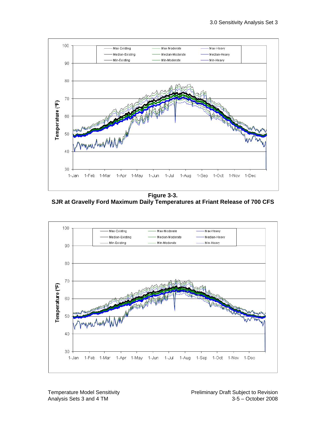

**Figure 3-3. SJR at Gravelly Ford Maximum Daily Temperatures at Friant Release of 700 CFS** 

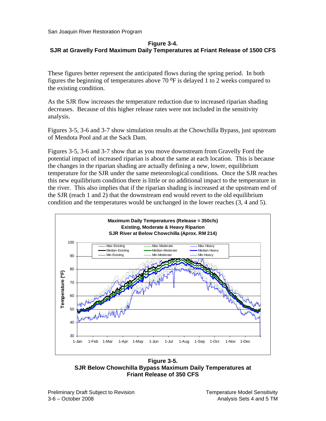#### **Figure 3-4. SJR at Gravelly Ford Maximum Daily Temperatures at Friant Release of 1500 CFS**

These figures better represent the anticipated flows during the spring period. In both figures the beginning of temperatures above 70 ºF is delayed 1 to 2 weeks compared to the existing condition.

As the SJR flow increases the temperature reduction due to increased riparian shading decreases. Because of this higher release rates were not included in the sensitivity analysis.

Figures 3-5, 3-6 and 3-7 show simulation results at the Chowchilla Bypass, just upstream of Mendota Pool and at the Sack Dam.

Figures 3-5, 3-6 and 3-7 show that as you move downstream from Gravelly Ford the potential impact of increased riparian is about the same at each location. This is because the changes in the riparian shading are actually defining a new, lower, equilibrium temperature for the SJR under the same meteorological conditions. Once the SJR reaches this new equilibrium condition there is little or no additional impact to the temperature in the river. This also implies that if the riparian shading is increased at the upstream end of the SJR (reach 1 and 2) that the downstream end would revert to the old equilibrium condition and the temperatures would be unchanged in the lower reaches (3, 4 and 5).



**Figure 3-5. SJR Below Chowchilla Bypass Maximum Daily Temperatures at Friant Release of 350 CFS**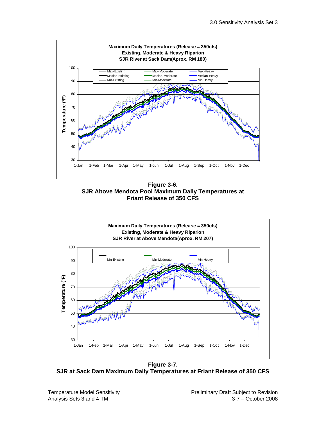

**Figure 3-6. SJR Above Mendota Pool Maximum Daily Temperatures at Friant Release of 350 CFS** 



**Figure 3-7. SJR at Sack Dam Maximum Daily Temperatures at Friant Release of 350 CFS**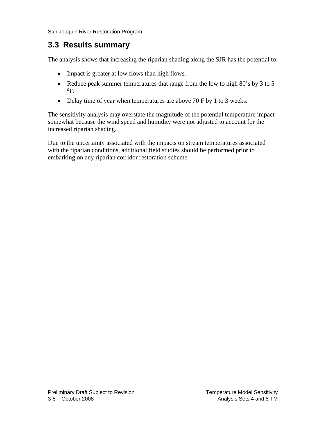#### **3.3 Results summary**

The analysis shows that increasing the riparian shading along the SJR has the potential to:

- Impact is greater at low flows than high flows.
- Reduce peak summer temperatures that range from the low to high 80's by 3 to 5 ºF.
- Delay time of year when temperatures are above 70 F by 1 to 3 weeks.

The sensitivity analysis may overstate the magnitude of the potential temperature impact somewhat because the wind speed and humidity were not adjusted to account for the increased riparian shading.

Due to the uncertainty associated with the impacts on stream temperatures associated with the riparian conditions, additional field studies should be performed prior to embarking on any riparian corridor restoration scheme.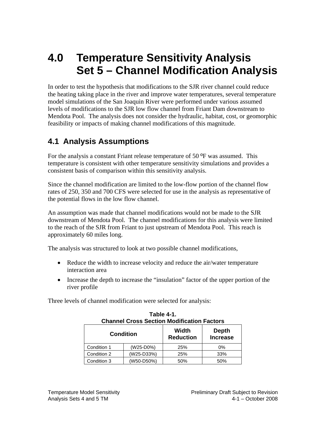## **4.0 Temperature Sensitivity Analysis Set 5 – Channel Modification Analysis**

In order to test the hypothesis that modifications to the SJR river channel could reduce the heating taking place in the river and improve water temperatures, several temperature model simulations of the San Joaquin River were performed under various assumed levels of modifications to the SJR low flow channel from Friant Dam downstream to Mendota Pool. The analysis does not consider the hydraulic, habitat, cost, or geomorphic feasibility or impacts of making channel modifications of this magnitude.

### **4.1 Analysis Assumptions**

For the analysis a constant Friant release temperature of 50 ºF was assumed. This temperature is consistent with other temperature sensitivity simulations and provides a consistent basis of comparison within this sensitivity analysis.

Since the channel modification are limited to the low-flow portion of the channel flow rates of 250, 350 and 700 CFS were selected for use in the analysis as representative of the potential flows in the low flow channel.

An assumption was made that channel modifications would not be made to the SJR downstream of Mendota Pool. The channel modifications for this analysis were limited to the reach of the SJR from Friant to just upstream of Mendota Pool. This reach is approximately 60 miles long.

The analysis was structured to look at two possible channel modifications,

- Reduce the width to increase velocity and reduce the air/water temperature interaction area
- Increase the depth to increase the "insulation" factor of the upper portion of the river profile

Three levels of channel modification were selected for analysis:

| Channel Cross Section Modification Factors |                  |                           |                                 |  |  |  |  |  |
|--------------------------------------------|------------------|---------------------------|---------------------------------|--|--|--|--|--|
|                                            | <b>Condition</b> | Width<br><b>Reduction</b> | <b>Depth</b><br><b>Increase</b> |  |  |  |  |  |
| Condition 1                                | (W25-D0%)        | 25%                       | 0%                              |  |  |  |  |  |
| Condition 2                                | (W25-D33%)       | 25%                       | 33%                             |  |  |  |  |  |
| Condition 3                                | (W50-D50%)       | 50%                       | 50%                             |  |  |  |  |  |

#### **Table 4-1. Channel Cross Section Modification Factors**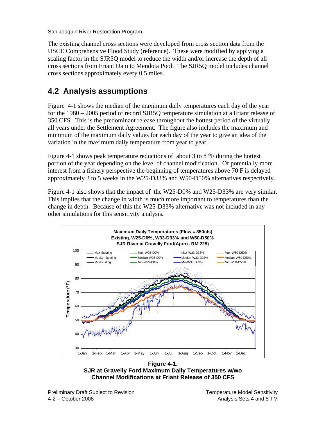The existing channel cross sections were developed from cross section data from the USCE Comprehensive Flood Study (reference). These were modified by applying a scaling factor in the SJR5Q model to reduce the width and/or increase the depth of all cross sections from Friant Dam to Mendota Pool. The SJR5Q model includes channel cross sections approximately every 0.5 miles.

### **4.2 Analysis assumptions**

Figure 4-1 shows the median of the maximum daily temperatures each day of the year for the 1980 – 2005 period of record SJR5Q temperature simulation at a Friant release of 350 CFS. This is the predominant release throughout the hottest period of the virtually all years under the Settlement Agreement. The figure also includes the maximum and minimum of the maximum daily values for each day of the year to give an idea of the variation in the maximum daily temperature from year to year.

Figure 4-1 shows peak temperature reductions of about 3 to 8 <sup>o</sup>F during the hottest portion of the year depending on the level of channel modification. Of potentially more interest from a fishery perspective the beginning of temperatures above 70 F is delayed approximately 2 to 5 weeks in the W25-D33% and W50-D50% alternatives respectively.

Figure 4-1 also shows that the impact of the W25-D0% and W25-D33% are very similar. This implies that the change in width is much more important to temperatures than the change in depth. Because of this the W25-D33% alternative was not included in any other simulations for this sensitivity analysis.



 **SJR at Gravelly Ford Maximum Daily Temperatures w/wo Figure 4-1. Channel Modifications at Friant Release of 350 CFS**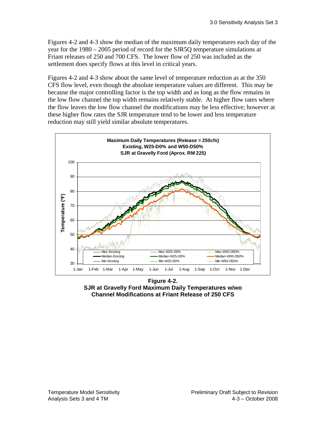Figures 4-2 and 4-3 show the median of the maximum daily temperatures each day of the year for the 1980 – 2005 period of record for the SJR5Q temperature simulations at Friant releases of 250 and 700 CFS. The lower flow of 250 was included as the settlement does specify flows at this level in critical years.

Figures 4-2 and 4-3 show about the same level of temperature reduction as at the 350 CFS flow level, even though the absolute temperature values are different. This may be because the major controlling factor is the top width and as long as the flow remains in the low flow channel the top width remains relatively stable. At higher flow rates where the flow leaves the low flow channel the modifications may be less effective; however at these higher flow rates the SJR temperature tend to be lower and less temperature reduction may still yield similar absolute temperatures.



 **SJR at Gravelly Ford Maximum Daily Temperatures w/wo Figure 4-2. Channel Modifications at Friant Release of 250 CFS**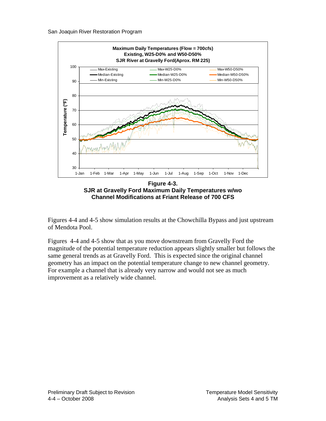

 **SJR at Gravelly Ford Maximum Daily Temperatures w/wo Figure 4-3. Channel Modifications at Friant Release of 700 CFS** 

Figures 4-4 and 4-5 show simulation results at the Chowchilla Bypass and just upstream of Mendota Pool.

Figures 4-4 and 4-5 show that as you move downstream from Gravelly Ford the magnitude of the potential temperature reduction appears slightly smaller but follows the same general trends as at Gravelly Ford. This is expected since the original channel geometry has an impact on the potential temperature change to new channel geometry. For example a channel that is already very narrow and would not see as much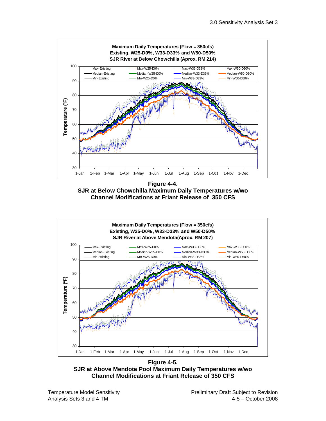

 **SJR at Below Chowchilla Maximum Daily Temperatures w/wo Figure 4-4. Channel Modifications at Friant Release of 350 CFS** 



 **SJR at Above Mendota Pool Maximum Daily Temperatures w/wo Channel Modifications at Friant Release of 350 CFS**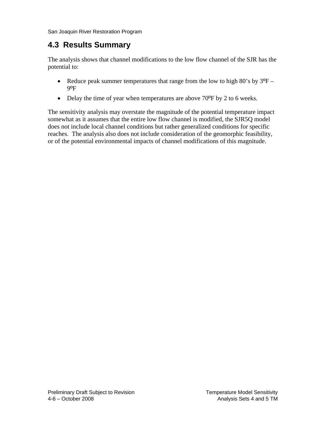### **4.3 Results Summary**

The analysis shows that channel modifications to the low flow channel of the SJR has the potential to:

- Reduce peak summer temperatures that range from the low to high 80's by  $3^{\circ}F -$ 9ºF
- Delay the time of year when temperatures are above 70<sup>o</sup>F by 2 to 6 weeks.

The sensitivity analysis may overstate the magnitude of the potential temperature impact somewhat as it assumes that the entire low flow channel is modified, the SJR5Q model does not include local channel conditions but rather generalized conditions for specific reaches. The analysis also does not include consideration of the geomorphic feasibility, or of the potential environmental impacts of channel modifications of this magnitude.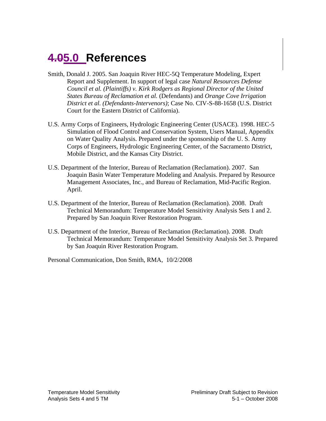## **4.05.0 References**

- Smith, Donald J. 2005. San Joaquin River HEC-5Q Temperature Modeling, Expert Report and Supplement. In support of legal case *Natural Resources Defense Council et al. (Plaintiffs) v. Kirk Rodgers as Regional Director of the United States Bureau of Reclamation et al.* (Defendants) and *Orange Cove Irrigation District et al. (Defendants-Intervenors)*; Case No. CIV-S-88-1658 (U.S. District Court for the Eastern District of California).
- U.S. Army Corps of Engineers, Hydrologic Engineering Center (USACE). 1998. HEC-5 Simulation of Flood Control and Conservation System, Users Manual, Appendix on Water Quality Analysis. Prepared under the sponsorship of the U. S. Army Corps of Engineers, Hydrologic Engineering Center, of the Sacramento District, Mobile District, and the Kansas City District.
- U.S. Department of the Interior, Bureau of Reclamation (Reclamation). 2007. San Joaquin Basin Water Temperature Modeling and Analysis. Prepared by Resource Management Associates, Inc., and Bureau of Reclamation, Mid-Pacific Region. April.
- U.S. Department of the Interior, Bureau of Reclamation (Reclamation). 2008. Draft Technical Memorandum: Temperature Model Sensitivity Analysis Sets 1 and 2. Prepared by San Joaquin River Restoration Program.
- U.S. Department of the Interior, Bureau of Reclamation (Reclamation). 2008. Draft Technical Memorandum: Temperature Model Sensitivity Analysis Set 3. Prepared by San Joaquin River Restoration Program.

Personal Communication, Don Smith, RMA, 10/2/2008